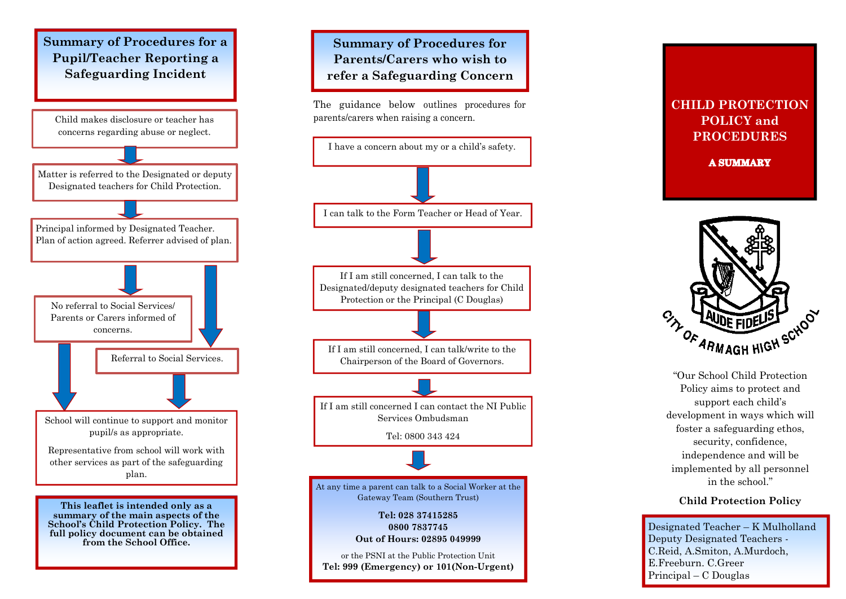



#### **CHILD PROTECTION POLICY and PROCEDURES**

**A SUMMARY** 



"Our School Child Protection Policy aims to protect and support each child's development in ways which will foster a safeguarding ethos, security, confidence, independence and will be implemented by all personnel in the school."

#### **Child Protection Policy**

Designated Teacher – K Mulholland Deputy Designated Teachers - C.Reid, A.Smiton, A.Murdoch, E.Freeburn. C.Greer Principal – C Douglas